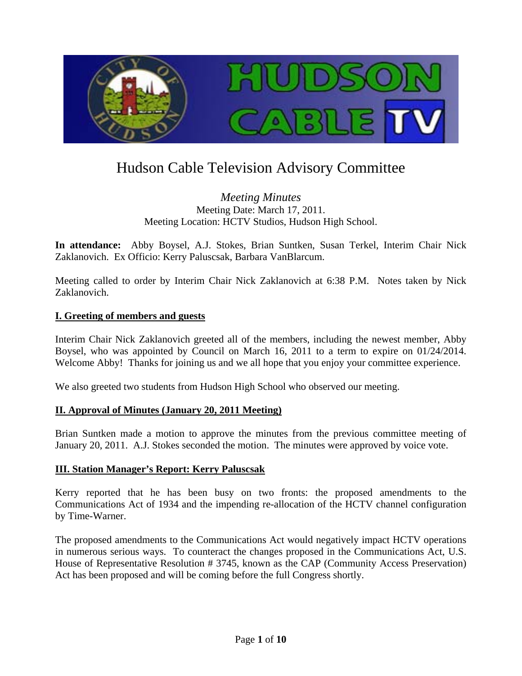

# Hudson Cable Television Advisory Committee

## *Meeting Minutes*  Meeting Date: March 17, 2011. Meeting Location: HCTV Studios, Hudson High School.

**In attendance:** Abby Boysel, A.J. Stokes, Brian Suntken, Susan Terkel, Interim Chair Nick Zaklanovich. Ex Officio: Kerry Paluscsak, Barbara VanBlarcum.

Meeting called to order by Interim Chair Nick Zaklanovich at 6:38 P.M. Notes taken by Nick Zaklanovich.

#### **I. Greeting of members and guests**

Interim Chair Nick Zaklanovich greeted all of the members, including the newest member, Abby Boysel, who was appointed by Council on March 16, 2011 to a term to expire on 01/24/2014. Welcome Abby! Thanks for joining us and we all hope that you enjoy your committee experience.

We also greeted two students from Hudson High School who observed our meeting.

#### **II. Approval of Minutes (January 20, 2011 Meeting)**

Brian Suntken made a motion to approve the minutes from the previous committee meeting of January 20, 2011. A.J. Stokes seconded the motion. The minutes were approved by voice vote.

#### **III. Station Manager's Report: Kerry Paluscsak**

Kerry reported that he has been busy on two fronts: the proposed amendments to the Communications Act of 1934 and the impending re-allocation of the HCTV channel configuration by Time-Warner.

The proposed amendments to the Communications Act would negatively impact HCTV operations in numerous serious ways. To counteract the changes proposed in the Communications Act, U.S. House of Representative Resolution # 3745, known as the CAP (Community Access Preservation) Act has been proposed and will be coming before the full Congress shortly.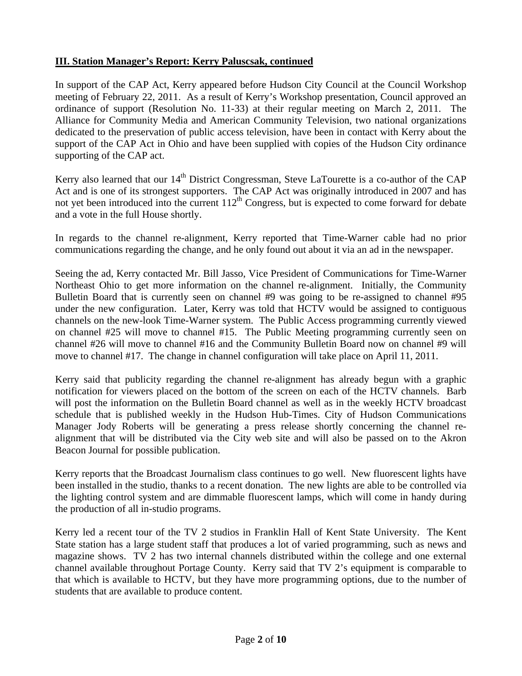# **III. Station Manager's Report: Kerry Paluscsak, continued**

In support of the CAP Act, Kerry appeared before Hudson City Council at the Council Workshop meeting of February 22, 2011. As a result of Kerry's Workshop presentation, Council approved an ordinance of support (Resolution No. 11-33) at their regular meeting on March 2, 2011. The Alliance for Community Media and American Community Television, two national organizations dedicated to the preservation of public access television, have been in contact with Kerry about the support of the CAP Act in Ohio and have been supplied with copies of the Hudson City ordinance supporting of the CAP act.

Kerry also learned that our 14<sup>th</sup> District Congressman, Steve LaTourette is a co-author of the CAP Act and is one of its strongest supporters. The CAP Act was originally introduced in 2007 and has not yet been introduced into the current  $112<sup>th</sup>$  Congress, but is expected to come forward for debate and a vote in the full House shortly.

In regards to the channel re-alignment, Kerry reported that Time-Warner cable had no prior communications regarding the change, and he only found out about it via an ad in the newspaper.

Seeing the ad, Kerry contacted Mr. Bill Jasso, Vice President of Communications for Time-Warner Northeast Ohio to get more information on the channel re-alignment. Initially, the Community Bulletin Board that is currently seen on channel #9 was going to be re-assigned to channel #95 under the new configuration. Later, Kerry was told that HCTV would be assigned to contiguous channels on the new-look Time-Warner system. The Public Access programming currently viewed on channel #25 will move to channel #15. The Public Meeting programming currently seen on channel #26 will move to channel #16 and the Community Bulletin Board now on channel #9 will move to channel #17. The change in channel configuration will take place on April 11, 2011.

Kerry said that publicity regarding the channel re-alignment has already begun with a graphic notification for viewers placed on the bottom of the screen on each of the HCTV channels. Barb will post the information on the Bulletin Board channel as well as in the weekly HCTV broadcast schedule that is published weekly in the Hudson Hub-Times. City of Hudson Communications Manager Jody Roberts will be generating a press release shortly concerning the channel realignment that will be distributed via the City web site and will also be passed on to the Akron Beacon Journal for possible publication.

Kerry reports that the Broadcast Journalism class continues to go well. New fluorescent lights have been installed in the studio, thanks to a recent donation. The new lights are able to be controlled via the lighting control system and are dimmable fluorescent lamps, which will come in handy during the production of all in-studio programs.

Kerry led a recent tour of the TV 2 studios in Franklin Hall of Kent State University. The Kent State station has a large student staff that produces a lot of varied programming, such as news and magazine shows. TV 2 has two internal channels distributed within the college and one external channel available throughout Portage County. Kerry said that TV 2's equipment is comparable to that which is available to HCTV, but they have more programming options, due to the number of students that are available to produce content.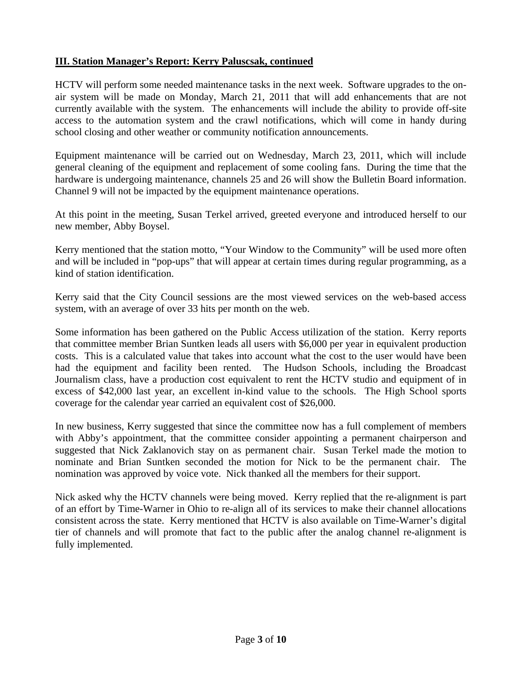## **III. Station Manager's Report: Kerry Paluscsak, continued**

HCTV will perform some needed maintenance tasks in the next week. Software upgrades to the onair system will be made on Monday, March 21, 2011 that will add enhancements that are not currently available with the system. The enhancements will include the ability to provide off-site access to the automation system and the crawl notifications, which will come in handy during school closing and other weather or community notification announcements.

Equipment maintenance will be carried out on Wednesday, March 23, 2011, which will include general cleaning of the equipment and replacement of some cooling fans. During the time that the hardware is undergoing maintenance, channels 25 and 26 will show the Bulletin Board information. Channel 9 will not be impacted by the equipment maintenance operations.

At this point in the meeting, Susan Terkel arrived, greeted everyone and introduced herself to our new member, Abby Boysel.

Kerry mentioned that the station motto, "Your Window to the Community" will be used more often and will be included in "pop-ups" that will appear at certain times during regular programming, as a kind of station identification.

Kerry said that the City Council sessions are the most viewed services on the web-based access system, with an average of over 33 hits per month on the web.

Some information has been gathered on the Public Access utilization of the station. Kerry reports that committee member Brian Suntken leads all users with \$6,000 per year in equivalent production costs. This is a calculated value that takes into account what the cost to the user would have been had the equipment and facility been rented. The Hudson Schools, including the Broadcast Journalism class, have a production cost equivalent to rent the HCTV studio and equipment of in excess of \$42,000 last year, an excellent in-kind value to the schools. The High School sports coverage for the calendar year carried an equivalent cost of \$26,000.

In new business, Kerry suggested that since the committee now has a full complement of members with Abby's appointment, that the committee consider appointing a permanent chairperson and suggested that Nick Zaklanovich stay on as permanent chair. Susan Terkel made the motion to nominate and Brian Suntken seconded the motion for Nick to be the permanent chair. The nomination was approved by voice vote. Nick thanked all the members for their support.

Nick asked why the HCTV channels were being moved. Kerry replied that the re-alignment is part of an effort by Time-Warner in Ohio to re-align all of its services to make their channel allocations consistent across the state. Kerry mentioned that HCTV is also available on Time-Warner's digital tier of channels and will promote that fact to the public after the analog channel re-alignment is fully implemented.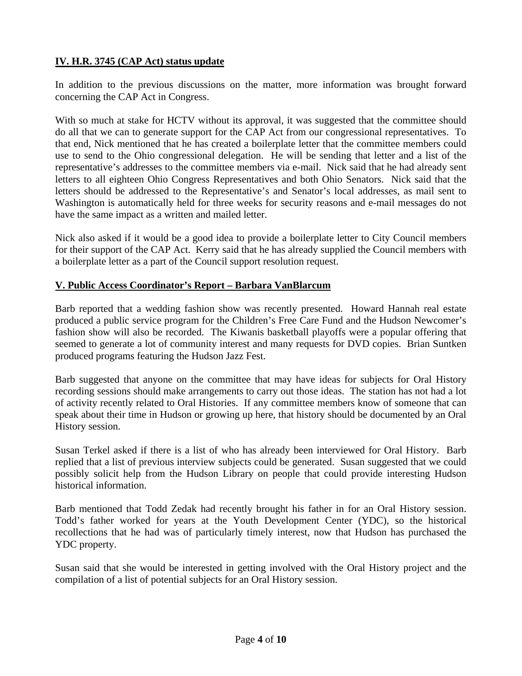# **IV. H.R. 3745 (CAP Act) status update**

In addition to the previous discussions on the matter, more information was brought forward concerning the CAP Act in Congress.

With so much at stake for HCTV without its approval, it was suggested that the committee should do all that we can to generate support for the CAP Act from our congressional representatives. To that end, Nick mentioned that he has created a boilerplate letter that the committee members could use to send to the Ohio congressional delegation. He will be sending that letter and a list of the representative's addresses to the committee members via e-mail. Nick said that he had already sent letters to all eighteen Ohio Congress Representatives and both Ohio Senators. Nick said that the letters should be addressed to the Representative's and Senator's local addresses, as mail sent to Washington is automatically held for three weeks for security reasons and e-mail messages do not have the same impact as a written and mailed letter.

Nick also asked if it would be a good idea to provide a boilerplate letter to City Council members for their support of the CAP Act. Kerry said that he has already supplied the Council members with a boilerplate letter as a part of the Council support resolution request.

## **V. Public Access Coordinator's Report – Barbara VanBlarcum**

Barb reported that a wedding fashion show was recently presented. Howard Hannah real estate produced a public service program for the Children's Free Care Fund and the Hudson Newcomer's fashion show will also be recorded. The Kiwanis basketball playoffs were a popular offering that seemed to generate a lot of community interest and many requests for DVD copies. Brian Suntken produced programs featuring the Hudson Jazz Fest.

Barb suggested that anyone on the committee that may have ideas for subjects for Oral History recording sessions should make arrangements to carry out those ideas. The station has not had a lot of activity recently related to Oral Histories. If any committee members know of someone that can speak about their time in Hudson or growing up here, that history should be documented by an Oral History session.

Susan Terkel asked if there is a list of who has already been interviewed for Oral History. Barb replied that a list of previous interview subjects could be generated. Susan suggested that we could possibly solicit help from the Hudson Library on people that could provide interesting Hudson historical information.

Barb mentioned that Todd Zedak had recently brought his father in for an Oral History session. Todd's father worked for years at the Youth Development Center (YDC), so the historical recollections that he had was of particularly timely interest, now that Hudson has purchased the YDC property.

Susan said that she would be interested in getting involved with the Oral History project and the compilation of a list of potential subjects for an Oral History session.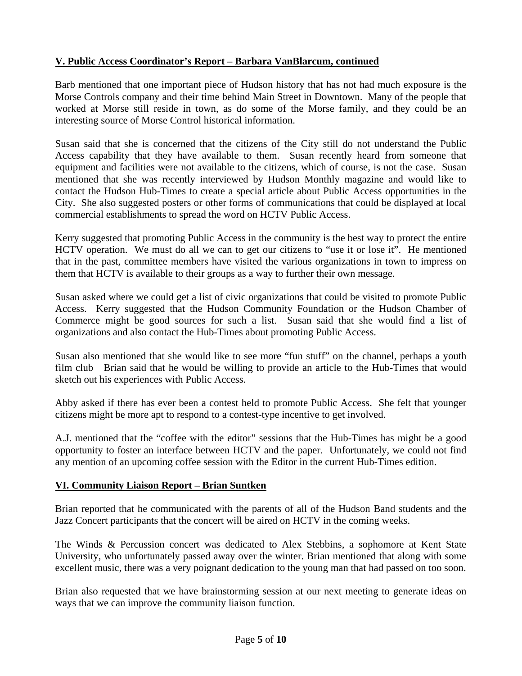# **V. Public Access Coordinator's Report – Barbara VanBlarcum, continued**

Barb mentioned that one important piece of Hudson history that has not had much exposure is the Morse Controls company and their time behind Main Street in Downtown. Many of the people that worked at Morse still reside in town, as do some of the Morse family, and they could be an interesting source of Morse Control historical information.

Susan said that she is concerned that the citizens of the City still do not understand the Public Access capability that they have available to them. Susan recently heard from someone that equipment and facilities were not available to the citizens, which of course, is not the case. Susan mentioned that she was recently interviewed by Hudson Monthly magazine and would like to contact the Hudson Hub-Times to create a special article about Public Access opportunities in the City. She also suggested posters or other forms of communications that could be displayed at local commercial establishments to spread the word on HCTV Public Access.

Kerry suggested that promoting Public Access in the community is the best way to protect the entire HCTV operation. We must do all we can to get our citizens to "use it or lose it". He mentioned that in the past, committee members have visited the various organizations in town to impress on them that HCTV is available to their groups as a way to further their own message.

Susan asked where we could get a list of civic organizations that could be visited to promote Public Access. Kerry suggested that the Hudson Community Foundation or the Hudson Chamber of Commerce might be good sources for such a list. Susan said that she would find a list of organizations and also contact the Hub-Times about promoting Public Access.

Susan also mentioned that she would like to see more "fun stuff" on the channel, perhaps a youth film club Brian said that he would be willing to provide an article to the Hub-Times that would sketch out his experiences with Public Access.

Abby asked if there has ever been a contest held to promote Public Access. She felt that younger citizens might be more apt to respond to a contest-type incentive to get involved.

A.J. mentioned that the "coffee with the editor" sessions that the Hub-Times has might be a good opportunity to foster an interface between HCTV and the paper. Unfortunately, we could not find any mention of an upcoming coffee session with the Editor in the current Hub-Times edition.

## **VI. Community Liaison Report – Brian Suntken**

Brian reported that he communicated with the parents of all of the Hudson Band students and the Jazz Concert participants that the concert will be aired on HCTV in the coming weeks.

The Winds & Percussion concert was dedicated to Alex Stebbins, a sophomore at Kent State University, who unfortunately passed away over the winter. Brian mentioned that along with some excellent music, there was a very poignant dedication to the young man that had passed on too soon.

Brian also requested that we have brainstorming session at our next meeting to generate ideas on ways that we can improve the community liaison function.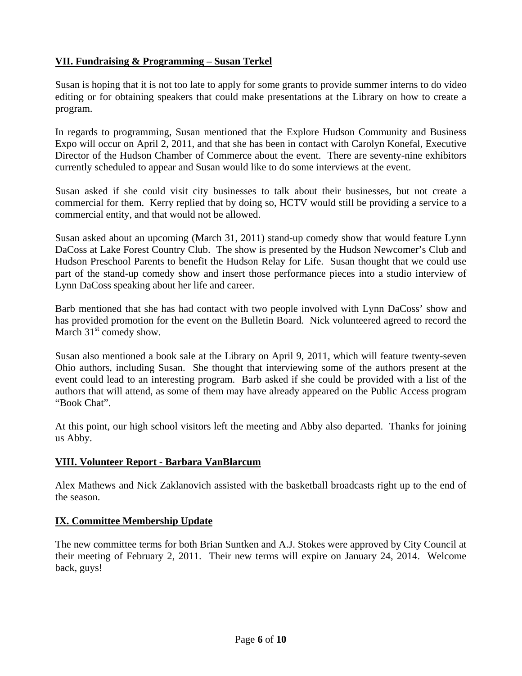# **VII. Fundraising & Programming – Susan Terkel**

Susan is hoping that it is not too late to apply for some grants to provide summer interns to do video editing or for obtaining speakers that could make presentations at the Library on how to create a program.

In regards to programming, Susan mentioned that the Explore Hudson Community and Business Expo will occur on April 2, 2011, and that she has been in contact with Carolyn Konefal, Executive Director of the Hudson Chamber of Commerce about the event. There are seventy-nine exhibitors currently scheduled to appear and Susan would like to do some interviews at the event.

Susan asked if she could visit city businesses to talk about their businesses, but not create a commercial for them. Kerry replied that by doing so, HCTV would still be providing a service to a commercial entity, and that would not be allowed.

Susan asked about an upcoming (March 31, 2011) stand-up comedy show that would feature Lynn DaCoss at Lake Forest Country Club. The show is presented by the Hudson Newcomer's Club and Hudson Preschool Parents to benefit the Hudson Relay for Life. Susan thought that we could use part of the stand-up comedy show and insert those performance pieces into a studio interview of Lynn DaCoss speaking about her life and career.

Barb mentioned that she has had contact with two people involved with Lynn DaCoss' show and has provided promotion for the event on the Bulletin Board. Nick volunteered agreed to record the March  $31<sup>st</sup>$  comedy show.

Susan also mentioned a book sale at the Library on April 9, 2011, which will feature twenty-seven Ohio authors, including Susan. She thought that interviewing some of the authors present at the event could lead to an interesting program. Barb asked if she could be provided with a list of the authors that will attend, as some of them may have already appeared on the Public Access program "Book Chat".

At this point, our high school visitors left the meeting and Abby also departed. Thanks for joining us Abby.

#### **VIII. Volunteer Report - Barbara VanBlarcum**

Alex Mathews and Nick Zaklanovich assisted with the basketball broadcasts right up to the end of the season.

## **IX. Committee Membership Update**

The new committee terms for both Brian Suntken and A.J. Stokes were approved by City Council at their meeting of February 2, 2011. Their new terms will expire on January 24, 2014. Welcome back, guys!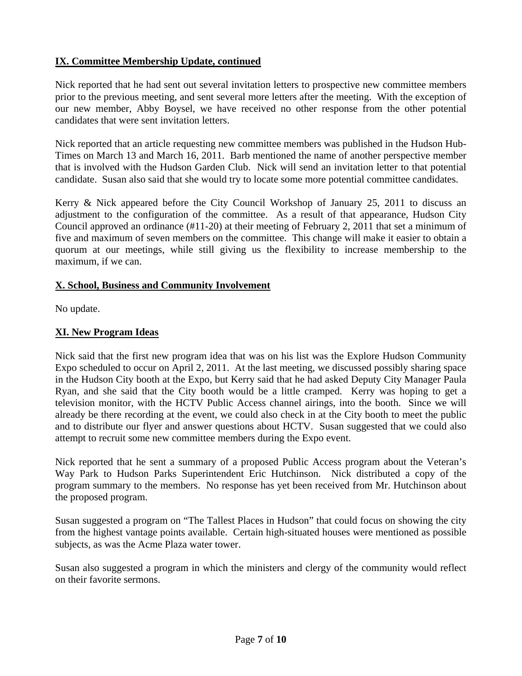# **IX. Committee Membership Update, continued**

Nick reported that he had sent out several invitation letters to prospective new committee members prior to the previous meeting, and sent several more letters after the meeting. With the exception of our new member, Abby Boysel, we have received no other response from the other potential candidates that were sent invitation letters.

Nick reported that an article requesting new committee members was published in the Hudson Hub-Times on March 13 and March 16, 2011. Barb mentioned the name of another perspective member that is involved with the Hudson Garden Club. Nick will send an invitation letter to that potential candidate. Susan also said that she would try to locate some more potential committee candidates.

Kerry & Nick appeared before the City Council Workshop of January 25, 2011 to discuss an adjustment to the configuration of the committee. As a result of that appearance, Hudson City Council approved an ordinance (#11-20) at their meeting of February 2, 2011 that set a minimum of five and maximum of seven members on the committee. This change will make it easier to obtain a quorum at our meetings, while still giving us the flexibility to increase membership to the maximum, if we can.

#### **X. School, Business and Community Involvement**

No update.

## **XI. New Program Ideas**

Nick said that the first new program idea that was on his list was the Explore Hudson Community Expo scheduled to occur on April 2, 2011. At the last meeting, we discussed possibly sharing space in the Hudson City booth at the Expo, but Kerry said that he had asked Deputy City Manager Paula Ryan, and she said that the City booth would be a little cramped. Kerry was hoping to get a television monitor, with the HCTV Public Access channel airings, into the booth. Since we will already be there recording at the event, we could also check in at the City booth to meet the public and to distribute our flyer and answer questions about HCTV. Susan suggested that we could also attempt to recruit some new committee members during the Expo event.

Nick reported that he sent a summary of a proposed Public Access program about the Veteran's Way Park to Hudson Parks Superintendent Eric Hutchinson. Nick distributed a copy of the program summary to the members. No response has yet been received from Mr. Hutchinson about the proposed program.

Susan suggested a program on "The Tallest Places in Hudson" that could focus on showing the city from the highest vantage points available. Certain high-situated houses were mentioned as possible subjects, as was the Acme Plaza water tower.

Susan also suggested a program in which the ministers and clergy of the community would reflect on their favorite sermons.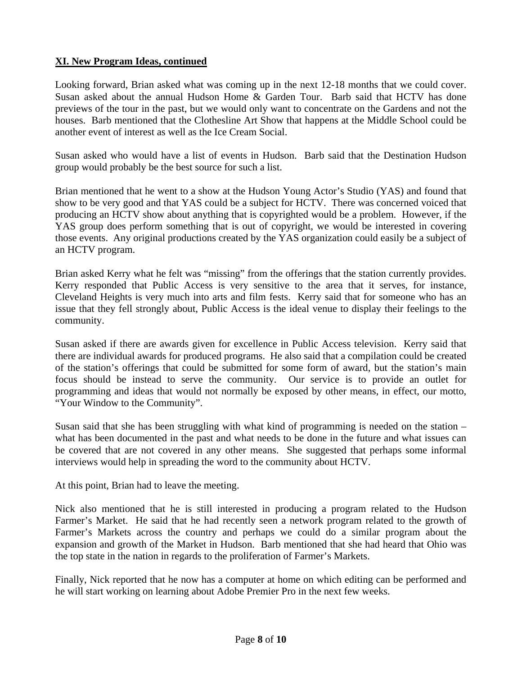# **XI. New Program Ideas, continued**

Looking forward, Brian asked what was coming up in the next 12-18 months that we could cover. Susan asked about the annual Hudson Home  $\&$  Garden Tour. Barb said that HCTV has done previews of the tour in the past, but we would only want to concentrate on the Gardens and not the houses. Barb mentioned that the Clothesline Art Show that happens at the Middle School could be another event of interest as well as the Ice Cream Social.

Susan asked who would have a list of events in Hudson. Barb said that the Destination Hudson group would probably be the best source for such a list.

Brian mentioned that he went to a show at the Hudson Young Actor's Studio (YAS) and found that show to be very good and that YAS could be a subject for HCTV. There was concerned voiced that producing an HCTV show about anything that is copyrighted would be a problem. However, if the YAS group does perform something that is out of copyright, we would be interested in covering those events. Any original productions created by the YAS organization could easily be a subject of an HCTV program.

Brian asked Kerry what he felt was "missing" from the offerings that the station currently provides. Kerry responded that Public Access is very sensitive to the area that it serves, for instance, Cleveland Heights is very much into arts and film fests. Kerry said that for someone who has an issue that they fell strongly about, Public Access is the ideal venue to display their feelings to the community.

Susan asked if there are awards given for excellence in Public Access television. Kerry said that there are individual awards for produced programs. He also said that a compilation could be created of the station's offerings that could be submitted for some form of award, but the station's main focus should be instead to serve the community. Our service is to provide an outlet for programming and ideas that would not normally be exposed by other means, in effect, our motto, "Your Window to the Community".

Susan said that she has been struggling with what kind of programming is needed on the station – what has been documented in the past and what needs to be done in the future and what issues can be covered that are not covered in any other means. She suggested that perhaps some informal interviews would help in spreading the word to the community about HCTV.

At this point, Brian had to leave the meeting.

Nick also mentioned that he is still interested in producing a program related to the Hudson Farmer's Market. He said that he had recently seen a network program related to the growth of Farmer's Markets across the country and perhaps we could do a similar program about the expansion and growth of the Market in Hudson. Barb mentioned that she had heard that Ohio was the top state in the nation in regards to the proliferation of Farmer's Markets.

Finally, Nick reported that he now has a computer at home on which editing can be performed and he will start working on learning about Adobe Premier Pro in the next few weeks.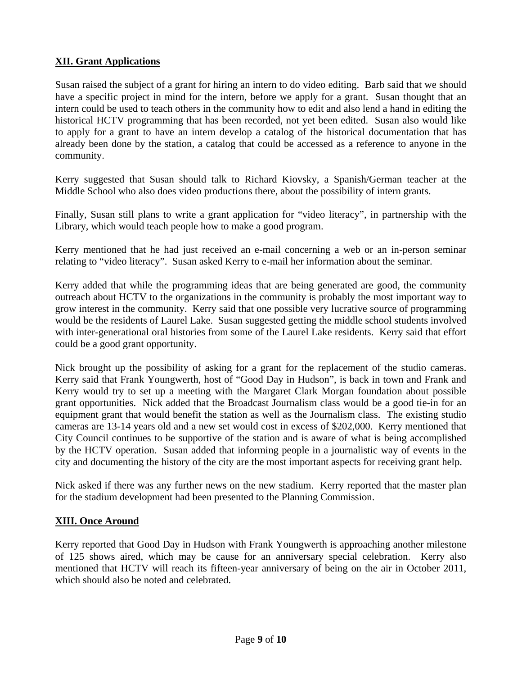# **XII. Grant Applications**

Susan raised the subject of a grant for hiring an intern to do video editing. Barb said that we should have a specific project in mind for the intern, before we apply for a grant. Susan thought that an intern could be used to teach others in the community how to edit and also lend a hand in editing the historical HCTV programming that has been recorded, not yet been edited. Susan also would like to apply for a grant to have an intern develop a catalog of the historical documentation that has already been done by the station, a catalog that could be accessed as a reference to anyone in the community.

Kerry suggested that Susan should talk to Richard Kiovsky, a Spanish/German teacher at the Middle School who also does video productions there, about the possibility of intern grants.

Finally, Susan still plans to write a grant application for "video literacy", in partnership with the Library, which would teach people how to make a good program.

Kerry mentioned that he had just received an e-mail concerning a web or an in-person seminar relating to "video literacy". Susan asked Kerry to e-mail her information about the seminar.

Kerry added that while the programming ideas that are being generated are good, the community outreach about HCTV to the organizations in the community is probably the most important way to grow interest in the community. Kerry said that one possible very lucrative source of programming would be the residents of Laurel Lake. Susan suggested getting the middle school students involved with inter-generational oral histories from some of the Laurel Lake residents. Kerry said that effort could be a good grant opportunity.

Nick brought up the possibility of asking for a grant for the replacement of the studio cameras. Kerry said that Frank Youngwerth, host of "Good Day in Hudson", is back in town and Frank and Kerry would try to set up a meeting with the Margaret Clark Morgan foundation about possible grant opportunities. Nick added that the Broadcast Journalism class would be a good tie-in for an equipment grant that would benefit the station as well as the Journalism class. The existing studio cameras are 13-14 years old and a new set would cost in excess of \$202,000. Kerry mentioned that City Council continues to be supportive of the station and is aware of what is being accomplished by the HCTV operation. Susan added that informing people in a journalistic way of events in the city and documenting the history of the city are the most important aspects for receiving grant help.

Nick asked if there was any further news on the new stadium. Kerry reported that the master plan for the stadium development had been presented to the Planning Commission.

## **XIII. Once Around**

Kerry reported that Good Day in Hudson with Frank Youngwerth is approaching another milestone of 125 shows aired, which may be cause for an anniversary special celebration. Kerry also mentioned that HCTV will reach its fifteen-year anniversary of being on the air in October 2011, which should also be noted and celebrated.